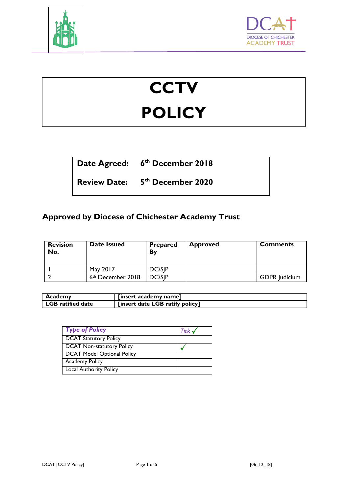



# **CCTV POLICY**

**Date Agreed: 6 th December 2018**

**Review Date: 5 th December 2020**

# **Approved by Diocese of Chichester Academy Trust**

| <b>Revision</b><br>No. | Date Issued                   | <b>Prepared</b><br>Bv | <b>Approved</b> | <b>Comments</b>      |
|------------------------|-------------------------------|-----------------------|-----------------|----------------------|
|                        | May 2017                      | <b>DC/SIP</b>         |                 |                      |
|                        | 6 <sup>th</sup> December 2018 | <b>DC/SIP</b>         |                 | <b>GDPR</b> Judicium |

| Academy                  | [insert academy name]           |
|--------------------------|---------------------------------|
| <b>LGB</b> ratified date | [insert date LGB ratify policy] |

| <b>Type of Policy</b>             | Tick $\checkmark$ |
|-----------------------------------|-------------------|
| <b>DCAT Statutory Policy</b>      |                   |
| <b>DCAT Non-statutory Policy</b>  |                   |
| <b>DCAT Model Optional Policy</b> |                   |
| <b>Academy Policy</b>             |                   |
| <b>Local Authority Policy</b>     |                   |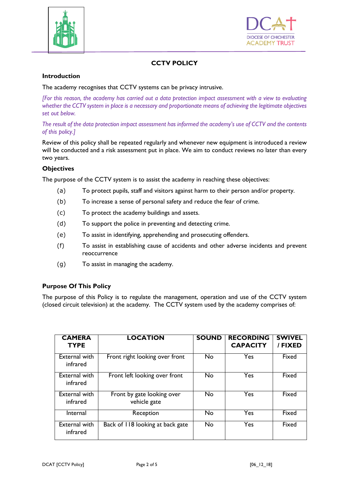



## **CCTV POLICY**

#### **Introduction**

The academy recognises that CCTV systems can be privacy intrusive.

*[For this reason, the academy has carried out a data protection impact assessment with a view to evaluating whether the CCTV system in place is a necessary and proportionate means of achieving the legitimate objectives set out below.* 

*The result of the data protection impact assessment has informed the academy's use of CCTV and the contents of this policy.]*

Review of this policy shall be repeated regularly and whenever new equipment is introduced a review will be conducted and a risk assessment put in place. We aim to conduct reviews no later than every two years.

#### **Objectives**

The purpose of the CCTV system is to assist the academy in reaching these objectives:

- (a) To protect pupils, staff and visitors against harm to their person and/or property.
- (b) To increase a sense of personal safety and reduce the fear of crime.
- (c) To protect the academy buildings and assets.
- (d) To support the police in preventing and detecting crime.
- (e) To assist in identifying, apprehending and prosecuting offenders.
- (f) To assist in establishing cause of accidents and other adverse incidents and prevent reoccurrence
- (g) To assist in managing the academy.

#### **Purpose Of This Policy**

The purpose of this Policy is to regulate the management, operation and use of the CCTV system (closed circuit television) at the academy. The CCTV system used by the academy comprises of:

| <b>CAMERA</b><br><b>TYPE</b>     | <b>LOCATION</b>                            | <b>SOUND</b> | <b>RECORDING</b><br><b>CAPACITY</b> | <b>SWIVEL</b><br>/ FIXED |
|----------------------------------|--------------------------------------------|--------------|-------------------------------------|--------------------------|
| <b>External with</b><br>infrared | Front right looking over front             | No           | Yes                                 | Fixed                    |
| <b>External with</b><br>infrared | Front left looking over front              | No           | Yes                                 | Fixed                    |
| External with<br>infrared        | Front by gate looking over<br>vehicle gate | No           | Yes                                 | Fixed                    |
| Internal                         | Reception                                  | No           | Yes                                 | Fixed                    |
| <b>External with</b><br>infrared | Back of 118 looking at back gate           | No           | Yes                                 | Fixed                    |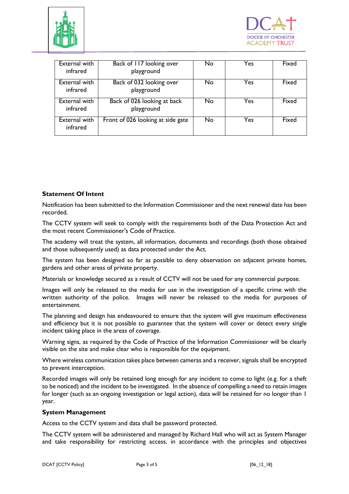



| External with<br>infrared        | Back of 117 looking over<br>playground    | No | Yes | Fixed |
|----------------------------------|-------------------------------------------|----|-----|-------|
| External with<br>infrared        | Back of 032 looking over<br>playground    | No | Yes | Fixed |
| External with<br>infrared        | Back of 026 looking at back<br>playground | No | Yes | Fixed |
| <b>External with</b><br>infrared | Front of 026 looking at side gate         | No | Yes | Fixed |

#### **Statement Of Intent**

Notification has been submitted to the Information Commissioner and the next renewal date has been recorded.

The CCTV system will seek to comply with the requirements both of the Data Protection Act and the most recent Commissioner's Code of Practice.

The academy will treat the system, all information, documents and recordings (both those obtained and those subsequently used) as data protected under the Act.

The system has been designed so far as possible to deny observation on adjacent private homes, gardens and other areas of private property.

Materials or knowledge secured as a result of CCTV will not be used for any commercial purpose.

Images will only be released to the media for use in the investigation of a specific crime with the written authority of the police. Images will never be released to the media for purposes of entertainment.

The planning and design has endeavoured to ensure that the system will give maximum effectiveness and efficiency but it is not possible to guarantee that the system will cover or detect every single incident taking place in the areas of coverage.

Warning signs, as required by the Code of Practice of the Information Commissioner will be clearly visible on the site and make clear who is responsible for the equipment.

Where wireless communication takes place between cameras and a receiver, signals shall be encrypted to prevent interception.

Recorded images will only be retained long enough for any incident to come to light (e.g. for a theft to be noticed) and the incident to be investigated. In the absence of compelling a need to retain images for longer (such as an ongoing investigation or legal action), data will be retained for no longer than 1 year.

#### **System Management**

Access to the CCTV system and data shall be password protected.

The CCTV system will be administered and managed by Richard Hall who will act as System Manager and take responsibility for restricting access, in accordance with the principles and objectives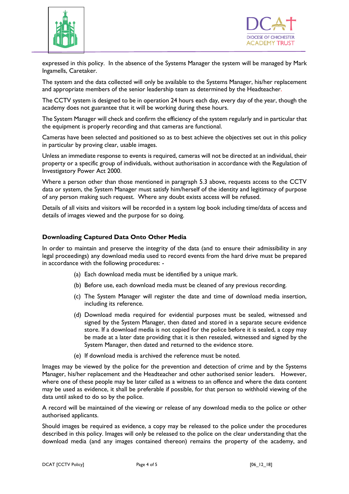



expressed in this policy. In the absence of the Systems Manager the system will be managed by Mark Ingamells, Caretaker.

The system and the data collected will only be available to the Systems Manager, his/her replacement and appropriate members of the senior leadership team as determined by the Headteacher.

The CCTV system is designed to be in operation 24 hours each day, every day of the year, though the academy does not guarantee that it will be working during these hours.

The System Manager will check and confirm the efficiency of the system regularly and in particular that the equipment is properly recording and that cameras are functional.

Cameras have been selected and positioned so as to best achieve the objectives set out in this policy in particular by proving clear, usable images.

Unless an immediate response to events is required, cameras will not be directed at an individual, their property or a specific group of individuals, without authorisation in accordance with the Regulation of Investigatory Power Act 2000.

Where a person other than those mentioned in paragraph 5.3 above, requests access to the CCTV data or system, the System Manager must satisfy him/herself of the identity and legitimacy of purpose of any person making such request. Where any doubt exists access will be refused.

Details of all visits and visitors will be recorded in a system log book including time/data of access and details of images viewed and the purpose for so doing.

#### **Downloading Captured Data Onto Other Media**

In order to maintain and preserve the integrity of the data (and to ensure their admissibility in any legal proceedings) any download media used to record events from the hard drive must be prepared in accordance with the following procedures: -

- (a) Each download media must be identified by a unique mark.
- (b) Before use, each download media must be cleaned of any previous recording.
- (c) The System Manager will register the date and time of download media insertion, including its reference.
- (d) Download media required for evidential purposes must be sealed, witnessed and signed by the System Manager, then dated and stored in a separate secure evidence store. If a download media is not copied for the police before it is sealed, a copy may be made at a later date providing that it is then resealed, witnessed and signed by the System Manager, then dated and returned to the evidence store.
- (e) If download media is archived the reference must be noted.

Images may be viewed by the police for the prevention and detection of crime and by the Systems Manager, his/her replacement and the Headteacher and other authorised senior leaders. However, where one of these people may be later called as a witness to an offence and where the data content may be used as evidence, it shall be preferable if possible, for that person to withhold viewing of the data until asked to do so by the police.

A record will be maintained of the viewing or release of any download media to the police or other authorised applicants.

Should images be required as evidence, a copy may be released to the police under the procedures described in this policy. Images will only be released to the police on the clear understanding that the download media (and any images contained thereon) remains the property of the academy, and